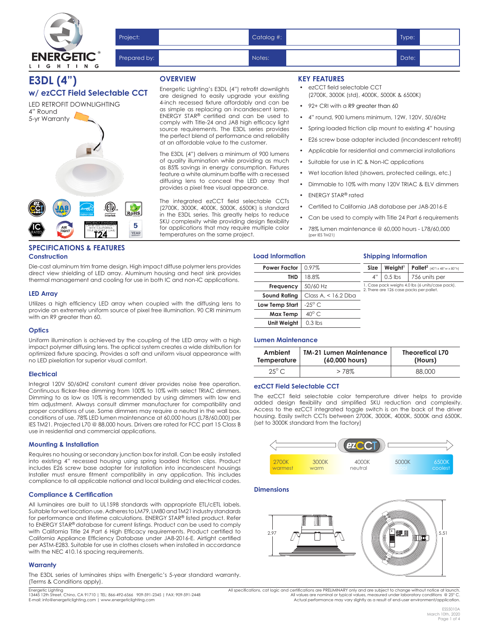

|                                                          | Project:     |                 | Catalog #: |                     | Type: |  |
|----------------------------------------------------------|--------------|-----------------|------------|---------------------|-------|--|
| $\overline{\mathsf{C}}^{\,\scriptscriptstyle\circ}$<br>G | Prepared by: |                 | Notes:     |                     | Date: |  |
|                                                          |              | <b>OVERVIEW</b> |            | <b>KEY FEATURES</b> |       |  |

## **E3DL (4") w/ ezCCT Field Selectable CCT**

LED RETROFIT DOWNLIGHTING 4" Round 5-yr Warranty EFFICIENCY STANDARDS 5 **IC** CAN BE USED TO COMPLY WITH CALIFORNIA TITLE 24 PART 6 (JA8) YEAR **T24**

## **SPECIFICATIONS & FEATURES Construction**

Die-cast aluminum trim frame design. High impact diffuse polymer lens provides direct view shielding of LED array. Aluminum housing and heat sink provides thermal management and cooling for use in both IC and non-IC applications.

#### **LED Array**

Utilizes a high efficiency LED array when coupled with the diffusing lens to provide an extremely uniform source of pixel free illumination. 90 CRI minimum with an R9 greater than 60.

#### **Optics**

Uniform illumination is achieved by the coupling of the LED array with a high impact polymer diffusing lens. The optical system creates a wide distribution for optimized fixture spacing. Provides a soft and uniform visual appearance with no LED pixelation for superior visual comfort.

#### **Electrical**

Integral 120V 50/60HZ constant current driver provides noise free operation. Continuous flicker-free dimming from 100% to 10% with select TRIAC dimmers. Dimming to as low as 10% is recommended by using dimmers with low end trim adjustment. Always consult dimmer manufacturer for compatibility and proper conditions of use. Some dimmers may require a neutral in the wall box. conditions of use. 78% LED lumen maintenance at 60,000 hours (L78/60,000) per IES TM21. Projected L70 @ 88,000 hours. Drivers are rated for FCC part 15 Class B use in residential and commercial applications.

#### **Mounting & Installation**

Requires no housing or secondary junction box for install. Can be easily installed into existing 4" recessed housing using spring loaded friction clips. Product includes E26 screw base adapter for installation into incandescent housings Installer must ensure fitment compatibility in any application. This includes compliance to all applicable national and local building and electrical codes.

## **Compliance & Certification**

All luminaires are built to UL1598 standards with appropriate ETL/cETL labels. Suitable for wet location use. Adheres to LM79, LM80 and TM21 industry standards for performance and lifetime calculations. ENERGY STAR® listed product. Refer to ENERGY STAR® database for current listings. Product can be used to comply with California Title 24 Part 6 High Efficacy requirements. Product certified to California Appliance Efficiency Database under JA8-2016-E. Airtight certified per ASTM-E283. Suitable for use in clothes closets when installed in accordance .<br>with the NEC 410.16 spacing requirements.

## **Warranty**

The E3DL series of luminaires ships with Energetic's 5-year standard warranty. (Terms & Conditions apply).

Energetic Lighting<br>13445 12th Street, Chino, CA 91710 | TEL: 866-492-6566 909-591-2345 | FAX: 909-591-2448<br>E-mail: info@energeticlighting.com | www.energeticlighting.com

Energetic Lighting's E3DL (4") retrofit downlights are designed to easily upgrade your existing 4-inch recessed fixture affordably and can be as simple as replacing an incandescent lamp. ENERGY STAR® certified and can be used to comply with Title-24 and JA8 high efficacy light source requirements. The E3DL series provides the perfect blend of performance and reliability at an affordable value to the customer.

The E3DL (4") delivers a minimum of 900 lumens of quality illumination while providing as much as 85% savings in energy consumption. Fixtures feature a white aluminum baffle with a recessed diffusing lens to conceal the LED array that provides a pixel free visual appearance.

The integrated ezCCT field selectable CCTs (2700K, 3000K, 4000K, 5000K, 6500K) is standard in the E3DL series. This greatly helps to reduce SKU complexity while providing design flexibility for applications that may require multiple color temperatures on the same project.

#### **KEY FEATURES**

- ezCCT field selectable CCT (2700K, 3000K (std), 4000K, 5000K & 6500K)
- 92+ CRI with a R9 greater than 60
- 4" round, 900 lumens minimum, 12W, 120V, 50/60Hz
- Spring loaded friction clip mount to existing 4" housing
- E26 screw base adapter included (incandescent retrofit)
- Applicable for residential and commercial installations
- Suitable for use in IC & Non-IC applications
- Wet location listed (showers, protected ceilings, etc.)
- Dimmable to 10% with many 120V TRIAC & ELV dimmers
- ENERGY STAR® rated
- Certified to California JA8 database per JA8-2016-E
- Can be used to comply with Title 24 Part 6 requirements

**Shipping Information**

• 78% lumen maintenance @ 60,000 hours - L78/60,000 (per IES TM21)

#### **Load Information**

| <b>Power Factor</b> | $0.97\%$              | Size                                                                                        | Weight <sup>1</sup> | <b>Pallet</b> <sup>2</sup> $(40" \times 48" \times 80" h)$ |  |  |  |
|---------------------|-----------------------|---------------------------------------------------------------------------------------------|---------------------|------------------------------------------------------------|--|--|--|
| THD                 | 18.8%                 | 4"                                                                                          | $0.5$ lbs           | 756 units per                                              |  |  |  |
| Frequency           | 50/60 Hz              | 1. Case pack weighs 4.0 lbs (6 units/case pack).<br>2. There are 126 case packs per pallet. |                     |                                                            |  |  |  |
| <b>Sound Rating</b> | Class A, $<$ 16.2 Dba |                                                                                             |                     |                                                            |  |  |  |
| Low Temp Start      | $-25^\circ$ C         |                                                                                             |                     |                                                            |  |  |  |
| Max Temp            | $40^{\circ}$ C.       |                                                                                             |                     |                                                            |  |  |  |
| Unit Weiaht         | $0.3$ lbs             |                                                                                             |                     |                                                            |  |  |  |

## **Lumen Maintenance**

| Ambient        | <b>TM-21 Lumen Maintenance</b> | <b>Theoretical L70</b> |
|----------------|--------------------------------|------------------------|
| Temperature    | (60,000 hours)                 | (Hours)                |
| $25^{\circ}$ C | >78%                           | 88,000                 |

## **ezCCT Field Selectable CCT**

The ezCCT field selectable color temperature driver helps to provide added design flexibility and simplified SKU reduction and complexity. Access to the ezCCT integrated toggle switch is on the back of the driver housing. Easily switch CCTs between 2700K, 3000K, 4000K, 5000K and 6500K. (set to 3000K standard from the factory)



#### **Dimensions**



All specifications, cat logic and certifications are PRELIMINARY only and are subject to change without notice at launch. All values are nominal or typical values, measured under laboratory conditions @ 25° C.<br>Actual performance may vary slightly as a result of end-user environment/application.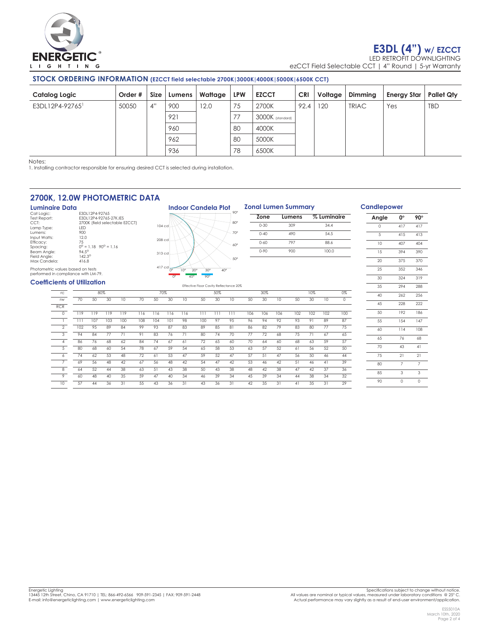

# **E3DL (4") w/ EZCCT**

LED RETROFIT DOWNLIGHTING ezCCT Field Selectable CCT | 4" Round | 5-yr Warranty

## **STOCK ORDERING INFORMATION (EZCCT field selectable 2700K|3000K|4000K|5000K|6500K CCT)**

| Catalog Logic               | Order # | Size | Lumens | Wattage | <b>LPW</b> | <b>EZCCT</b>     | <b>CRI</b> | Voltage | Dimming      | <b>Energy Star</b> | <b>Pallet Qty</b> |
|-----------------------------|---------|------|--------|---------|------------|------------------|------------|---------|--------------|--------------------|-------------------|
| E3DL12P4-92765 <sup>1</sup> | 50050   | 4"   | 900    | 12.0    | 75         | 2700K            | 92.4       | 120     | <b>TRIAC</b> | Yes                | <b>TBD</b>        |
|                             |         |      | 921    |         | 77         | 3000K (standard) |            |         |              |                    |                   |
|                             |         |      | 960    |         | 80         | 4000K            |            |         |              |                    |                   |
|                             |         |      | 962    |         | 80         | 5000K            |            |         |              |                    |                   |
|                             |         |      | 936    |         | 78         | 6500K            |            |         |              |                    |                   |

Notes:

1. Installing contractor responsible for ensuring desired CCT is selected during installation.

## **2700K, 12.0W PHOTOMETRIC DATA**

**Luminaire Data**<br>Cat Logic:<br>Test Report: Cat Logic: E3DL12P4-92765 Test Report: E3DL12P4-92765-27K.IES ESDETZP4-92763-27K.IES<br>2700K (field selectable EZCCT)<br>LED<br>900 Lamp Type:<br>Lamp Type:<br>Lumens: Lumens: 900 Input Watts: 12.0 Efficacy: 75  $12.0$ <br>  $75$ <br>  $0^\circ = 1.18$   $90^\circ = 1.16$ <br>  $94.5^\circ$ <br>  $142.3^\circ$ Beam Angle: 94.5° Field Angle: 142.3<sup>o</sup> Max Candela: 416.8



|     |                 |     | <b>Zonal Lumen Summary</b> |     |             |                 | <b>Candl</b>   |
|-----|-----------------|-----|----------------------------|-----|-------------|-----------------|----------------|
|     | Zone            |     | Lumens                     |     | % Luminaire |                 | An             |
|     | $0 - 30$        |     | 309                        |     | 34.4        |                 |                |
|     | $0 - 40$<br>490 |     |                            |     | 54.5        |                 |                |
|     | $0 - 60$        |     | 797                        |     | 88.6        |                 | $\mathbf{1}$   |
|     | $0 - 90$        |     | 900                        |     | 100.0       |                 | 1              |
|     |                 |     |                            |     |             |                 | $\overline{2}$ |
|     |                 |     |                            |     |             |                 | $\overline{2}$ |
|     |                 |     |                            |     |             |                 | 3              |
|     |                 |     |                            |     |             |                 | 3              |
|     | 30%             |     |                            | 10% |             | 0%              | 4              |
| 50  | 30              | 10  | 50                         | 30  | 10          | $\overline{0}$  | 4              |
| 106 | 106             | 106 | 102                        | 102 | 102         | 100             | 5              |
| 96  | 94              | 92  | 93                         | 91  | 89          | 87              | 5              |
| 86  | 82              | 79  | 83                         | 80  | 77          | $\overline{75}$ | 6              |
| 77  | 72              | 68  | 75                         | 71  | 67          | 65              | 6              |
| 70  | 64              | 60  | 68                         | 63  | 59          | 57              |                |
| 63  | 57              | 52  | 61                         | 56  | 52          | 50              | 7              |
| 57  | 51              | 47  | 56                         | 50  | 46          | 44              | 7              |
| 53  | 46              | 42  | 51                         | 46  | 41          | 39              | 8              |
| 48  | 42              | 38  | 47                         | 42  | 37          | 36              | $\Omega$       |

## **lepower**

| Angle | О°             | 90°            |
|-------|----------------|----------------|
| O     | 417            | 417            |
| 5     | 415            | 413            |
| 10    | 407            | 404            |
| 15    | 394            | 390            |
| 20    | 375            | 370            |
| 25    | 352            | 346            |
| 30    | 324            | 319            |
| 35    | 294            | 288            |
| 40    | 262            | 256            |
| 45    | 228            | 222            |
| 50    | 192            | 186            |
| 55    | 154            | 147            |
| 60    | 114            | 108            |
| 65    | 76             | 68             |
| 70    | 43             | 41             |
| 75    | $\overline{2}$ | 21             |
| 80    | $\overline{7}$ | $\overline{7}$ |
| 85    | 3              | 3              |
| 90    | O              | Ó              |

## Photometric values based on tests performed in compliance with LM-79.

## **Coefficients of Utilization**

| ווטוווצגוווט וט נוודסו.  |     |     |     |     |     |     |     |     | Effective Floor Cavity Reflectance 20% |     |                 |     |     |     |     |     |     |     |
|--------------------------|-----|-----|-----|-----|-----|-----|-----|-----|----------------------------------------|-----|-----------------|-----|-----|-----|-----|-----|-----|-----|
| rc                       |     |     | 80% |     |     | 70% |     |     |                                        | 50% |                 |     | 30% |     |     | 10% |     | 0%  |
| <b>TW</b>                | 70  | 50  | 30  | 10  | 70  | 50  | 30  | 10  | 50                                     | 30  | 10              | 50  | 30  | 10  | 50  | 30  | 10  | 0   |
| <b>RCR</b>               |     |     |     |     |     |     |     |     |                                        |     |                 |     |     |     |     |     |     |     |
| $\circ$                  | 119 | 119 | 119 | 119 | 116 | 116 | 116 | 116 | 111                                    | 111 | 111             | 106 | 106 | 106 | 102 | 102 | 102 | 100 |
|                          | 111 | 107 | 103 | 100 | 108 | 104 | 101 | 98  | 100                                    | 97  | 95              | 96  | 94  | 92  | 93  | 91  | 89  | 87  |
| $\overline{\phantom{a}}$ | 102 | 95  | 89  | 84  | 99  | 93  | 87  | 83  | 89                                     | 85  | 81              | 86  | 82  | 79  | 83  | 80  | 77  | 75  |
| 3                        | 94  | 84  | 77  | 71  | 91  | 83  | 76  | 71  | 80                                     | 74  | 70              | 77  | 72  | 68  | 75  | 71  | 67  | 65  |
| 4                        | 86  | 76  | 68  | 62  | 84  | 74  | 67  | 61  | 72                                     | 65  | 60              | 70  | 64  | 60  | 68  | 63  | 59  | 57  |
| 5                        | 80  | 68  | 60  | 54  | 78  | 67  | 59  | 54  | 65                                     | 58  | 53              | 63  | 57  | 52  | 61  | 56  | 52  | 50  |
| 6                        | 74  | 62  | 53  | 48  | 72  | 61  | 53  | 47  | 59                                     | 52  | 47              | 57  | 51  | 47  | 56  | 50  | 46  | 44  |
|                          | 69  | 56  | 48  | 42  | 67  | 56  | 48  | 42  | 54                                     | 47  | 42              | 53  | 46  | 42  | 51  | 46  | 41  | 39  |
| $\overline{\mathcal{B}}$ | 64  | 52  | 44  | 38  | 63  | 51  | 43  | 38  | 50                                     | 43  | 38              | 48  | 42  | 38  | 47  | 42  | 37  | 36  |
| 9                        | 60  | 48  | 40  | 35  | 59  | 47  | 40  | 34  | 46                                     | 39  | $3\overline{4}$ | 45  | 39  | 34  | 44  | 38  | 34  | 32  |
| 10                       | 57  | 44  | 36  | 31  | 55  | 43  | 36  | 31  | 43                                     | 36  | 31              | 42  | 35  | 31  | 41  | 35  | 31  | 29  |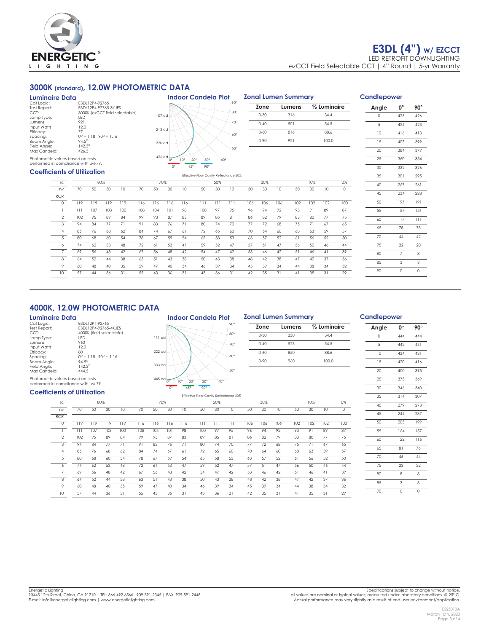

## **3000K (standard), 12.0W PHOTOMETRIC DATA**

| Luminaire Data                                                           |                                        |
|--------------------------------------------------------------------------|----------------------------------------|
| Cat Logic:                                                               | F3DI 12P4-92765                        |
| Test Report:                                                             | F3DL12P4-92765-3K.IFS                  |
| CCT:                                                                     | 3000K (ezCCT field selectable)         |
| Lamp Type:                                                               | <b>IFD</b>                             |
| Lumens:                                                                  | 921                                    |
| Input Watts:                                                             | 12.0                                   |
| Efficacy:                                                                | 77                                     |
| Spacina:                                                                 | $0^{\circ} = 1.18$ $90^{\circ} = 1.16$ |
| Beam Angle:                                                              | $94.5^{\circ}$                         |
| Field Angle:                                                             | $142.3^{\circ}$                        |
| Max Candela:                                                             | 426.3                                  |
| Photometric values based on tests<br>performed in compliance with LM-79. |                                        |



# **Zonal Lumen Summary Zone Lumens % Luminaire** 0-30 316 34.4 0-40 501 54.5 0-60 816 88.6 0-90 921 100.0

| <b>Coefficients of Utilization</b> |     |     |     |                 |     |     |     |     |              |     | Effective Floor Cavity Reflectance 20% |     |     |     |     |        |                 |                 |
|------------------------------------|-----|-----|-----|-----------------|-----|-----|-----|-----|--------------|-----|----------------------------------------|-----|-----|-----|-----|--------|-----------------|-----------------|
| rc                                 |     |     | 80% |                 | 70% |     |     |     |              | 50% |                                        |     | 30% |     |     | 10%    |                 |                 |
| <b>TW</b>                          | 70  | 50  | 30  | $10^{-}$        | 70  | 50  | 30  | 10  | $50^{\circ}$ | 30  | 10                                     | 50  | 30  | 10  | 50  | 30     | 10              | $\Omega$        |
| <b>RCR</b>                         |     |     |     |                 |     |     |     |     |              |     |                                        |     |     |     |     |        |                 |                 |
| $\Omega$                           | 119 | 119 | 119 | 119             | 116 | 116 | 116 | 116 | 111          | 111 | 111                                    | 106 | 106 | 106 | 102 | 102    | 102             | 100             |
|                                    |     | 107 | 103 | 100             | 108 | 104 | 101 | 98  | 100          | 97  | 95                                     | 96  | 94  | 92  | 93  | 91     | 89              | 87              |
| 2                                  | 102 | 95  | 89  | 84              | 99  | 93  | 87  | 83  | 89           | 85  | 81                                     | 86  | 82  | 79  | 83  | 80     | 77              | 75              |
| 3                                  | 94  | 84  | 77  | 71              | 91  | 83  | 76  | 71  | 80           | 74  | 70                                     | 77  | 72  | 68  | 75  | 71     | 67              | 65              |
|                                    | 86  | 76  | 68  | 62              | 84  | 74  | 67  | 61  | 72           | 65  | 60                                     | 70  | 64  | 60  | 68  | 63     | 59              | 57              |
|                                    | 80  | 68  | 60  | 54              | 78  | 67  | 59  | 54  | 65           | 58  | 53                                     | 63  | 57  | 52  | 61  | 56     | 52              | 50              |
|                                    | 74  | 62  | 53  | 48              | 72  | 61  | 53  | 47  | 59           | 52  | 47                                     | 57  | 51  | 47  | 56  | $50 -$ | 46              | 44              |
|                                    | 69  | 56  | 48  | 42              | 67  | 56  | 48  | 42  | 54           | 47  | 42                                     | 53  | 46  | 42  | 51  | 46     | 41              | 39              |
| 8                                  | 64  | 52  | 44  | 38              | 63  | 51  | 43  | 38  | 50           | 43  | 38                                     | 48  | 42  | 38  | 47  | 42     | 37              | 36              |
| $\circ$                            | 60  | 48  | 40  | 35              | 59  | 47  | 40  | 34  | 46           | 39  | 34                                     | 45  | 39  | 34  | 44  | 38     | 34              | $\overline{32}$ |
| 10                                 | 57  | 44  | 36  | $\overline{31}$ | 55  | 43  | 36  | 31  | 43           | 36  | 31                                     | 42  | 35  | 31  | 41  | 35     | $\overline{31}$ | 29              |

## **Candlepower Angle 0o 90o** 0 426 426 5 424 423 10 416 413 15 403 399 20 384 379 25 360 354 30 332 326 35 301 295 40 267 261 45 234 228 50 197 191 55 157 151 60 117 111 65 78 73 70 44 42 75 22 20 80 7 8 85 3 3 90 0 0

## **4000K, 12.0W PHOTOMETRIC DATA**

### **Luminaire Data**

| Cat Logic:   | F3DI 12P4-92765                        |
|--------------|----------------------------------------|
| Test Report: | F3DI 12P4-92765-4K.IFS                 |
| CCT:         | 4000K (field selectable)               |
| Lamp Type:   | <b>IFD</b>                             |
| Lumens:      | 960                                    |
| Input Watts: | 12.0                                   |
| Efficacy:    | 80                                     |
| Spacing:     | $0^{\circ} = 1.18$ $90^{\circ} = 1.16$ |
| Beam Angle:  | $94.5^{\circ}$                         |
| Field Angle: | $142.3^{\circ}$                        |
| Max Candela: | 444.5                                  |
|              |                                        |

Photometric values based on tests performed in compliance with LM-79.



**Indoor Candela Plot**

## **Zonal Lumen Summary**

| Zone     | Lumens | % Luminaire |
|----------|--------|-------------|
| $0 - 30$ | 330    | 34.4        |
| $0 - 40$ | 523    | 54.5        |
| $0 - 60$ | 850    | 88.6        |
| $0 - 90$ | 960    | 100.0       |
|          |        |             |

#### **Coefficients of Utilization** Effective Floor Cavity Reflectance 20% rc 80% 70% 50% 30% 10% 0% rw 70 50 30 10 70 50 30 10 50 30 10 50 30 10 50 30 10 0 RCR 0 119 119 119 119 116 116 116 116 111 111 111 106 106 106 102 102 102 100 1 111 107 103 100 108 104 101 98 100 97 95 96 94 92 93 91 89 87 2 102 95 89 84 99 93 87 83 89 85 81 86 82 79 83 80 77 75 3 94 84 77 71 91 83 76 71 80 74 70 77 72 68 75 71 67 65 4 86 76 68 62 84 74 67 61 72 65 60 70 64 60 68 63 59 57 5 80 68 60 54 78 67 59 54 65 58 53 63 57 52 61 56 52 50 6 74 62 53 48 72 61 53 47 59 52 47 57 51 47 56 50 46 44 7 69 56 48 42 67 56 48 42 54 47 42 53 46 42 51 46 41 39 8 64 52 44 38 63 51 43 38 50 43 38 48 42 38 47 42 37 36 9 60 48 40 35 59 47 40 34 46 39 34 45 39 34 44 38 34 32 10 57 44 36 31 55 43 36 31 43 36 31 42 35 31 41 35 31 29

## **Candlepower**

| Angle | О°  | 90° |
|-------|-----|-----|
| O     | 444 | 444 |
| 5     | 442 | 441 |
| 10    | 434 | 431 |
| 15    | 420 | 416 |
| 20    | 400 | 395 |
| 25    | 375 | 369 |
| 30    | 346 | 340 |
| 35    | 314 | 307 |
| 40    | 279 | 273 |
| 45    | 244 | 237 |
| 50    | 205 | 199 |
| 55    | 164 | 157 |
| 60    | 122 | 116 |
| 65    | 81  | 76  |
| 70    | 46  | 44  |
| 75    | 23  | 22  |
| 80    | 8   | 8   |
| 85    | 3   | 3   |
| 90    | O   | Ó   |

Actual performance may vary slightly as a result of end-user environment/application.